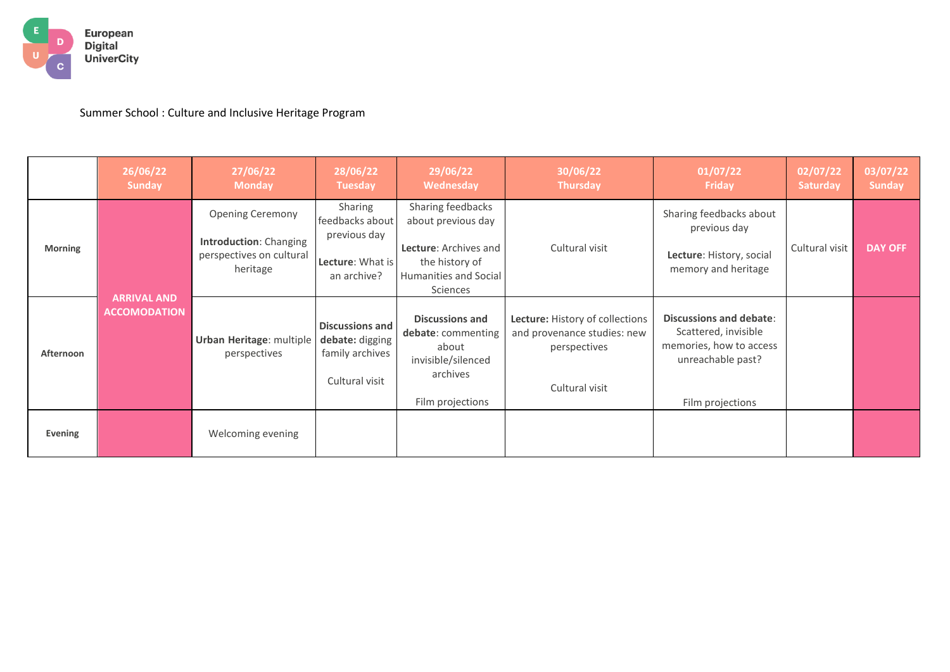

Summer School : Culture and Inclusive Heritage Program

|                | 26/06/22<br><b>Sunday</b>                 | 27/06/22<br><b>Monday</b>                                                                        | 28/06/22<br><b>Tuesday</b>                                                     | 29/06/22<br><b>Wednesday</b>                                                                                            | 30/06/22<br><b>Thursday</b>                                                                      | 01/07/22<br><b>Friday</b>                                                                                                  | 02/07/22<br><b>Saturday</b> | 03/07/22<br><b>Sunday</b> |
|----------------|-------------------------------------------|--------------------------------------------------------------------------------------------------|--------------------------------------------------------------------------------|-------------------------------------------------------------------------------------------------------------------------|--------------------------------------------------------------------------------------------------|----------------------------------------------------------------------------------------------------------------------------|-----------------------------|---------------------------|
| <b>Morning</b> | <b>ARRIVAL AND</b><br><b>ACCOMODATION</b> | <b>Opening Ceremony</b><br><b>Introduction: Changing</b><br>perspectives on cultural<br>heritage | Sharing<br>feedbacks about<br>previous day<br>Lecture: What is<br>an archive?  | Sharing feedbacks<br>about previous day<br>Lecture: Archives and<br>the history of<br>Humanities and Social<br>Sciences | Cultural visit                                                                                   | Sharing feedbacks about<br>previous day<br>Lecture: History, social<br>memory and heritage                                 | Cultural visit              | <b>DAY OFF</b>            |
| Afternoon      |                                           | <b>Urban Heritage: multiple</b><br>perspectives                                                  | <b>Discussions and</b><br>debate: digging<br>family archives<br>Cultural visit | <b>Discussions and</b><br>debate: commenting<br>about<br>invisible/silenced<br>archives<br>Film projections             | Lecture: History of collections<br>and provenance studies: new<br>perspectives<br>Cultural visit | <b>Discussions and debate:</b><br>Scattered, invisible<br>memories, how to access<br>unreachable past?<br>Film projections |                             |                           |
| Evening        |                                           | Welcoming evening                                                                                |                                                                                |                                                                                                                         |                                                                                                  |                                                                                                                            |                             |                           |